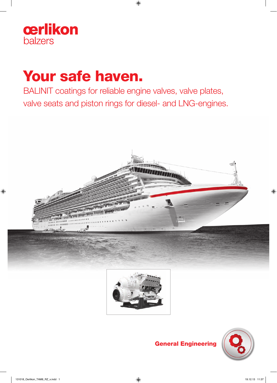

# Your safe haven.

BALINIT coatings for reliable engine valves, valve plates, valve seats and piston rings for diesel- and LNG-engines.